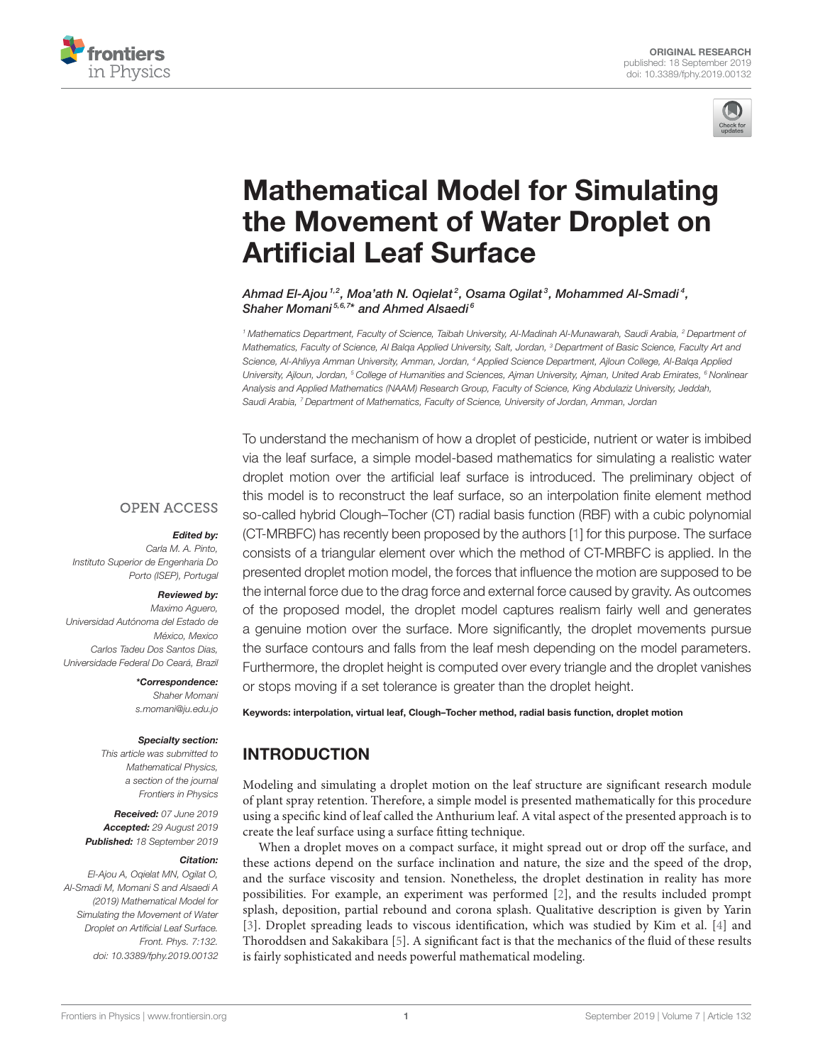



# Mathematical Model for Simulating the Movement of Water Droplet on Artificial Leaf Surface

Ahmad El-Ajou 1,2, Moa'ath N. Oqielat2, Osama Ogilat3, Mohammed Al-Smadi4, Shaher Momani<sup>5,6,7\*</sup> and Ahmed Alsaedi<sup>6</sup>

<sup>1</sup> Mathematics Department, Faculty of Science, Taibah University, Al-Madinah Al-Munawarah, Saudi Arabia, <sup>2</sup> Department of Mathematics, Faculty of Science, Al Balga Applied University, Salt, Jordan, <sup>3</sup> Department of Basic Science, Faculty Art and Science, Al-Ahliyya Amman University, Amman, Jordan, <sup>4</sup> Applied Science Department, Ajloun College, Al-Balqa Applied University, Ajloun, Jordan, <sup>5</sup> College of Humanities and Sciences, Ajman University, Ajman, United Arab Emirates, <sup>6</sup> Nonlinear Analysis and Applied Mathematics (NAAM) Research Group, Faculty of Science, King Abdulaziz University, Jeddah, Saudi Arabia, <sup>7</sup> Department of Mathematics, Faculty of Science, University of Jordan, Amman, Jordan

**OPEN ACCESS** 

#### Edited by:

Carla M. A. Pinto, Instituto Superior de Engenharia Do Porto (ISEP), Portugal

### Reviewed by:

Maximo Aguero, Universidad Autónoma del Estado de México, Mexico Carlos Tadeu Dos Santos Dias, Universidade Federal Do Ceará, Brazil

#### \*Correspondence:

Shaher Momani s.momani@ju.edu.jo

#### Specialty section:

This article was submitted to Mathematical Physics, a section of the journal Frontiers in Physics

Received: 07 June 2019 Accepted: 29 August 2019 Published: 18 September 2019

#### Citation:

El-Ajou A, Oqielat MN, Ogilat O, Al-Smadi M, Momani S and Alsaedi A (2019) Mathematical Model for Simulating the Movement of Water Droplet on Artificial Leaf Surface. Front. Phys. 7:132. doi: 10.3389/fphy.2019.00132 To understand the mechanism of how a droplet of pesticide, nutrient or water is imbibed via the leaf surface, a simple model-based mathematics for simulating a realistic water droplet motion over the artificial leaf surface is introduced. The preliminary object of this model is to reconstruct the leaf surface, so an interpolation finite element method so-called hybrid Clough–Tocher (CT) radial basis function (RBF) with a cubic polynomial (CT-MRBFC) has recently been proposed by the authors [1] for this purpose. The surface consists of a triangular element over which the method of CT-MRBFC is applied. In the presented droplet motion model, the forces that influence the motion are supposed to be the internal force due to the drag force and external force caused by gravity. As outcomes of the proposed model, the droplet model captures realism fairly well and generates a genuine motion over the surface. More significantly, the droplet movements pursue the surface contours and falls from the leaf mesh depending on the model parameters. Furthermore, the droplet height is computed over every triangle and the droplet vanishes or stops moving if a set tolerance is greater than the droplet height.

Keywords: interpolation, virtual leaf, Clough–Tocher method, radial basis function, droplet motion

# INTRODUCTION

Modeling and simulating a droplet motion on the leaf structure are significant research module of plant spray retention. Therefore, a simple model is presented mathematically for this procedure using a specific kind of leaf called the Anthurium leaf. A vital aspect of the presented approach is to create the leaf surface using a surface fitting technique.

When a droplet moves on a compact surface, it might spread out or drop off the surface, and these actions depend on the surface inclination and nature, the size and the speed of the drop, and the surface viscosity and tension. Nonetheless, the droplet destination in reality has more possibilities. For example, an experiment was performed [2], and the results included prompt splash, deposition, partial rebound and corona splash. Qualitative description is given by Yarin [3]. Droplet spreading leads to viscous identification, which was studied by Kim et al. [4] and Thoroddsen and Sakakibara [5]. A significant fact is that the mechanics of the fluid of these results is fairly sophisticated and needs powerful mathematical modeling.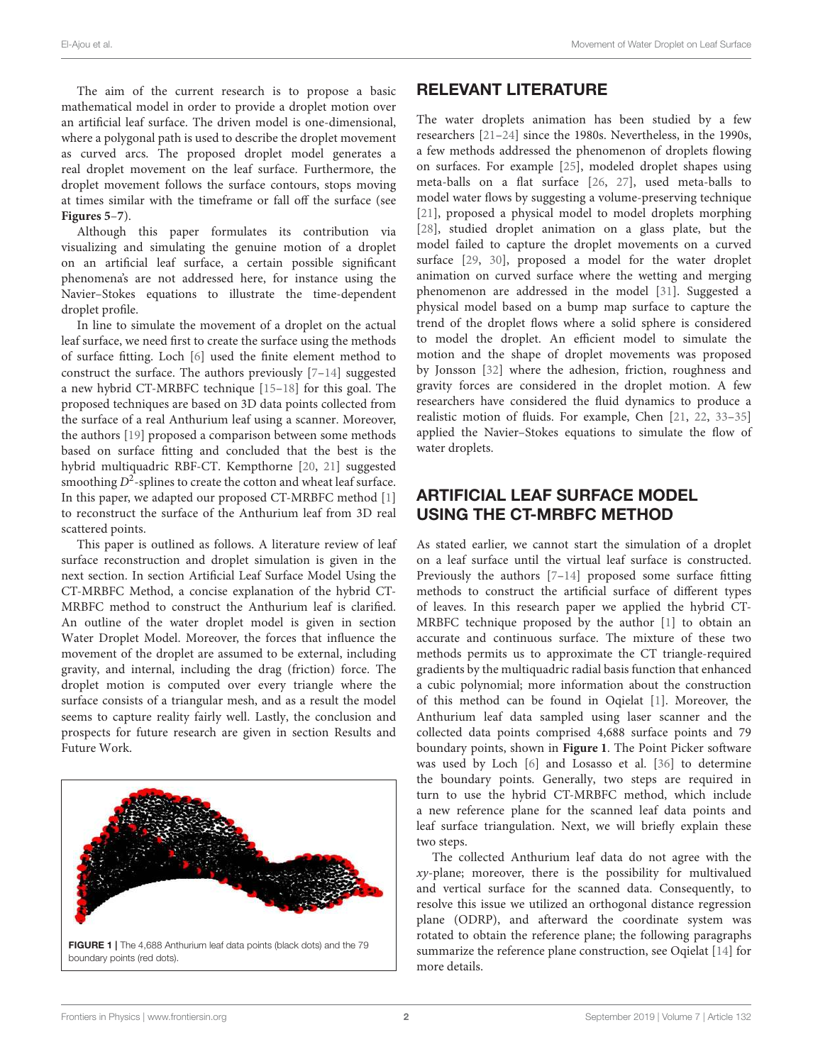The aim of the current research is to propose a basic mathematical model in order to provide a droplet motion over an artificial leaf surface. The driven model is one-dimensional, where a polygonal path is used to describe the droplet movement as curved arcs. The proposed droplet model generates a real droplet movement on the leaf surface. Furthermore, the droplet movement follows the surface contours, stops moving at times similar with the timeframe or fall off the surface (see **Figures 5**–**7**).

Although this paper formulates its contribution via visualizing and simulating the genuine motion of a droplet on an artificial leaf surface, a certain possible significant phenomena's are not addressed here, for instance using the Navier–Stokes equations to illustrate the time-dependent droplet profile.

In line to simulate the movement of a droplet on the actual leaf surface, we need first to create the surface using the methods of surface fitting. Loch [6] used the finite element method to construct the surface. The authors previously [7–14] suggested a new hybrid CT-MRBFC technique [15–18] for this goal. The proposed techniques are based on 3D data points collected from the surface of a real Anthurium leaf using a scanner. Moreover, the authors [19] proposed a comparison between some methods based on surface fitting and concluded that the best is the hybrid multiquadric RBF-CT. Kempthorne [20, 21] suggested smoothing  $D^2$ -splines to create the cotton and wheat leaf surface. In this paper, we adapted our proposed CT-MRBFC method [1] to reconstruct the surface of the Anthurium leaf from 3D real scattered points.

This paper is outlined as follows. A literature review of leaf surface reconstruction and droplet simulation is given in the next section. In section Artificial Leaf Surface Model Using the CT-MRBFC Method, a concise explanation of the hybrid CT-MRBFC method to construct the Anthurium leaf is clarified. An outline of the water droplet model is given in section Water Droplet Model. Moreover, the forces that influence the movement of the droplet are assumed to be external, including gravity, and internal, including the drag (friction) force. The droplet motion is computed over every triangle where the surface consists of a triangular mesh, and as a result the model seems to capture reality fairly well. Lastly, the conclusion and prospects for future research are given in section Results and Future Work.



# RELEVANT LITERATURE

The water droplets animation has been studied by a few researchers [21–24] since the 1980s. Nevertheless, in the 1990s, a few methods addressed the phenomenon of droplets flowing on surfaces. For example [25], modeled droplet shapes using meta-balls on a flat surface [26, 27], used meta-balls to model water flows by suggesting a volume-preserving technique [21], proposed a physical model to model droplets morphing [28], studied droplet animation on a glass plate, but the model failed to capture the droplet movements on a curved surface [29, 30], proposed a model for the water droplet animation on curved surface where the wetting and merging phenomenon are addressed in the model [31]. Suggested a physical model based on a bump map surface to capture the trend of the droplet flows where a solid sphere is considered to model the droplet. An efficient model to simulate the motion and the shape of droplet movements was proposed by Jonsson [32] where the adhesion, friction, roughness and gravity forces are considered in the droplet motion. A few researchers have considered the fluid dynamics to produce a realistic motion of fluids. For example, Chen [21, 22, 33–35] applied the Navier–Stokes equations to simulate the flow of water droplets.

# ARTIFICIAL LEAF SURFACE MODEL USING THE CT-MRBFC METHOD

As stated earlier, we cannot start the simulation of a droplet on a leaf surface until the virtual leaf surface is constructed. Previously the authors [7–14] proposed some surface fitting methods to construct the artificial surface of different types of leaves. In this research paper we applied the hybrid CT-MRBFC technique proposed by the author [1] to obtain an accurate and continuous surface. The mixture of these two methods permits us to approximate the CT triangle-required gradients by the multiquadric radial basis function that enhanced a cubic polynomial; more information about the construction of this method can be found in Oqielat [1]. Moreover, the Anthurium leaf data sampled using laser scanner and the collected data points comprised 4,688 surface points and 79 boundary points, shown in **Figure 1**. The Point Picker software was used by Loch [6] and Losasso et al. [36] to determine the boundary points. Generally, two steps are required in turn to use the hybrid CT-MRBFC method, which include a new reference plane for the scanned leaf data points and leaf surface triangulation. Next, we will briefly explain these two steps.

The collected Anthurium leaf data do not agree with the  $xy$ -plane; moreover, there is the possibility for multivalued and vertical surface for the scanned data. Consequently, to resolve this issue we utilized an orthogonal distance regression plane (ODRP), and afterward the coordinate system was rotated to obtain the reference plane; the following paragraphs summarize the reference plane construction, see Oqielat [14] for more details.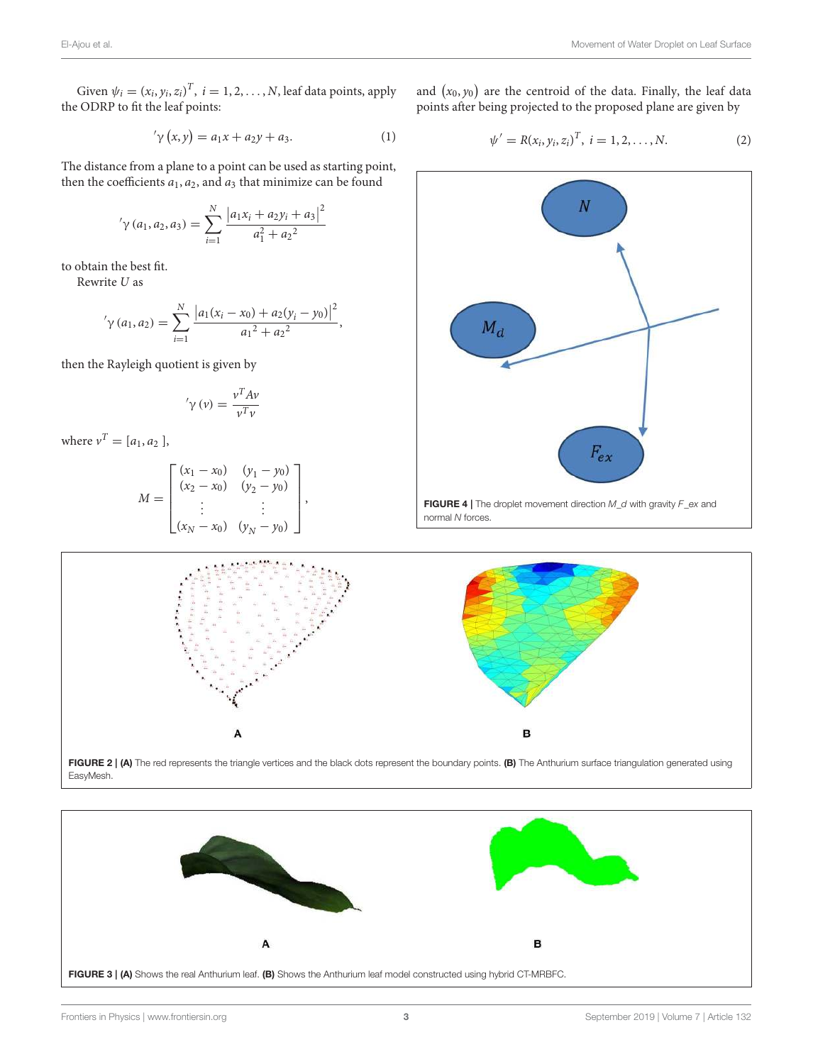Given  $\psi_i = (x_i, y_i, z_i)^T$ ,  $i = 1, 2, ..., N$ , leaf data points, apply the ODRP to fit the leaf points:

$$
'\gamma(x, y) = a_1x + a_2y + a_3.
$$
 (1)

The distance from a plane to a point can be used as starting point, then the coefficients  $a_1$ ,  $a_2$ , and  $a_3$  that minimize can be found

$$
\gamma(a_1, a_2, a_3) = \sum_{i=1}^{N} \frac{|a_1x_i + a_2y_i + a_3|^2}{a_1^2 + a_2^2}
$$

to obtain the best fit.

Rewrite U as

$$
\gamma\left(a_{1}, a_{2}\right) = \sum_{i=1}^{N} \frac{\left|a_{1}(x_{i}-x_{0})+a_{2}(y_{i}-y_{0})\right|^{2}}{a_{1}^{2}+a_{2}^{2}},
$$

then the Rayleigh quotient is given by

$$
'\gamma(v) = \frac{v^T A v}{v^T v}
$$

where  $v^T = [a_1, a_2]$ ,

$$
M = \begin{bmatrix} (x_1 - x_0) & (y_1 - y_0) \\ (x_2 - x_0) & (y_2 - y_0) \\ \vdots & \vdots \\ (x_N - x_0) & (y_N - y_0) \end{bmatrix},
$$

and  $(x_0, y_0)$  are the centroid of the data. Finally, the leaf data points after being projected to the proposed plane are given by

$$
\psi' = R(x_i, y_i, z_i)^T, \ i = 1, 2, \dots, N. \tag{2}
$$





EasyMesh.

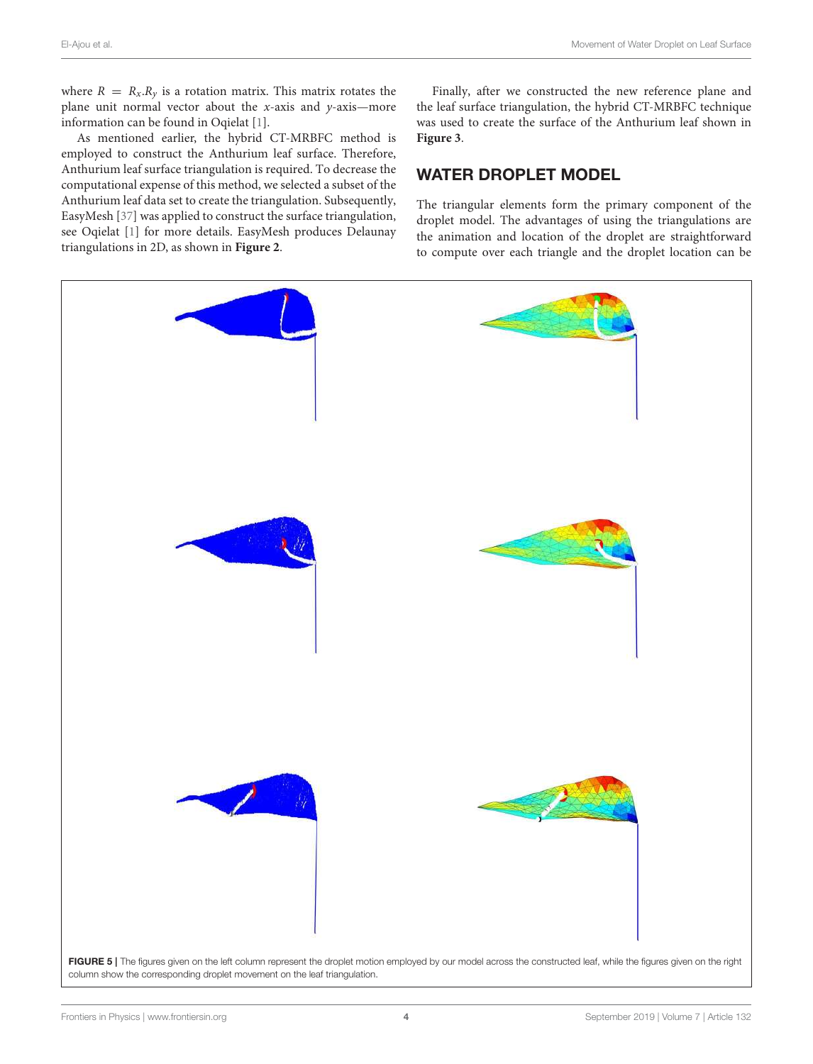where  $R = R_x \cdot R_y$  is a rotation matrix. This matrix rotates the plane unit normal vector about the x-axis and y-axis—more information can be found in Oqielat [1].

As mentioned earlier, the hybrid CT-MRBFC method is employed to construct the Anthurium leaf surface. Therefore, Anthurium leaf surface triangulation is required. To decrease the computational expense of this method, we selected a subset of the Anthurium leaf data set to create the triangulation. Subsequently, EasyMesh [37] was applied to construct the surface triangulation, see Oqielat [1] for more details. EasyMesh produces Delaunay triangulations in 2D, as shown in **Figure 2**.

Finally, after we constructed the new reference plane and the leaf surface triangulation, the hybrid CT-MRBFC technique was used to create the surface of the Anthurium leaf shown in **Figure 3**.

# WATER DROPLET MODEL

The triangular elements form the primary component of the droplet model. The advantages of using the triangulations are the animation and location of the droplet are straightforward to compute over each triangle and the droplet location can be

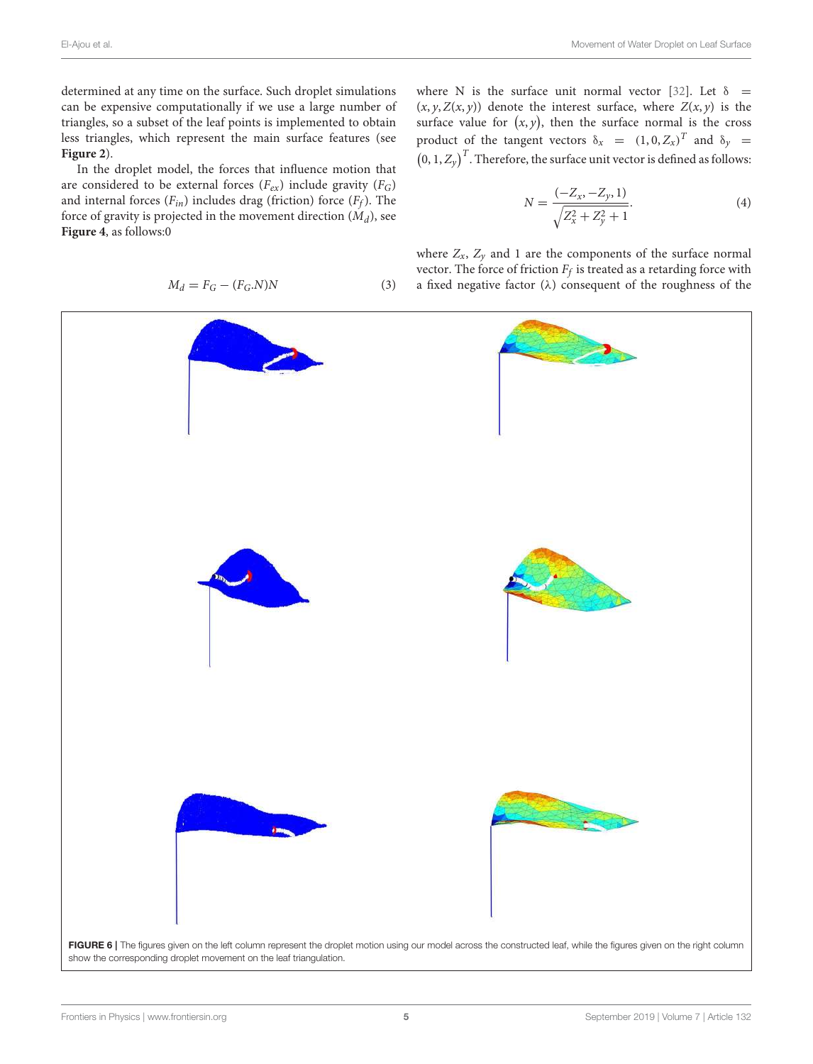determined at any time on the surface. Such droplet simulations can be expensive computationally if we use a large number of triangles, so a subset of the leaf points is implemented to obtain less triangles, which represent the main surface features (see **Figure 2**).

In the droplet model, the forces that influence motion that are considered to be external forces  $(F_{ex})$  include gravity  $(F_G)$ and internal forces  $(F_{in})$  includes drag (friction) force  $(F_f)$ . The force of gravity is projected in the movement direction  $(M_d)$ , see **Figure 4**, as follows:0

$$
M_d = F_G - (F_G.N)N\tag{3}
$$

where N is the surface unit normal vector [32]. Let  $\delta$  =  $(x, y, Z(x, y))$  denote the interest surface, where  $Z(x, y)$  is the surface value for  $(x, y)$ , then the surface normal is the cross product of the tangent vectors  $\delta_x = (1, 0, Z_x)^T$  and  $\delta_y =$  $(0, 1, Z_y)^T$ . Therefore, the surface unit vector is defined as follows:

$$
N = \frac{(-Z_x, -Z_y, 1)}{\sqrt{Z_x^2 + Z_y^2 + 1}}.\tag{4}
$$

where  $Z_x$ ,  $Z_y$  and 1 are the components of the surface normal vector. The force of friction  $F_f$  is treated as a retarding force with a fixed negative factor ( $\lambda$ ) consequent of the roughness of the

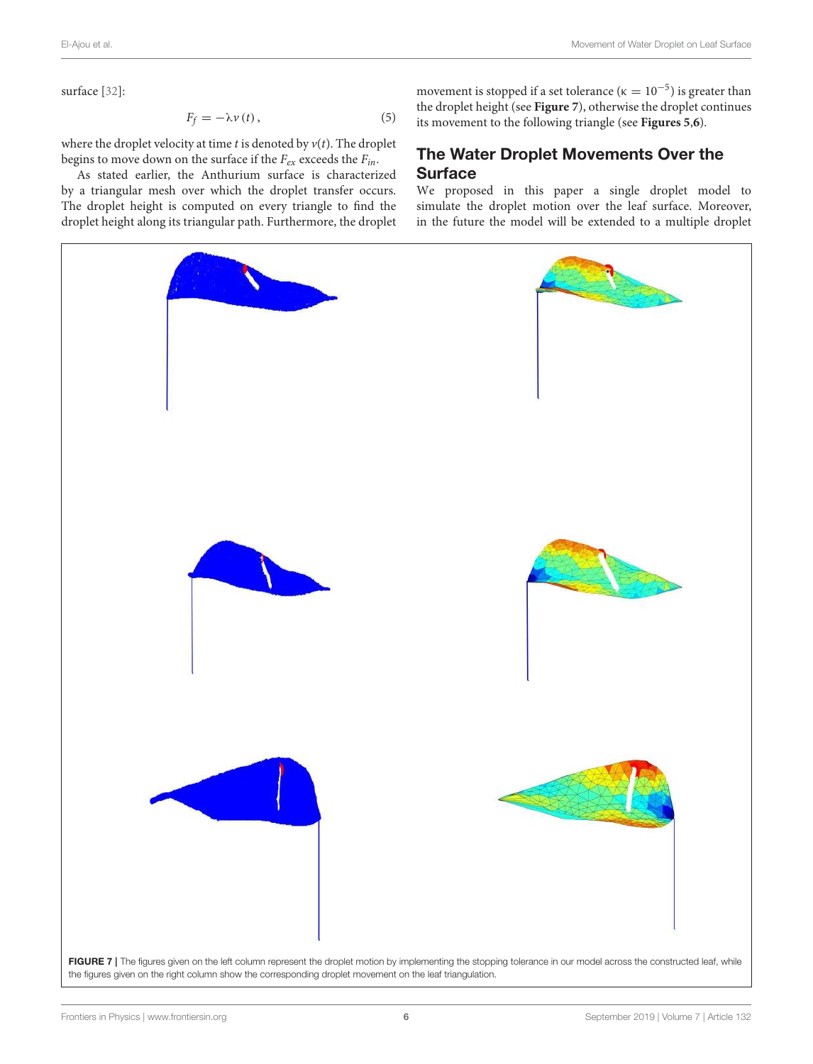surface [32]:

$$
F_f = -\lambda \nu(t),\tag{5}
$$

where the droplet velocity at time  $t$  is denoted by  $v(t)$ . The droplet begins to move down on the surface if the  $F_{ex}$  exceeds the  $F_{in}$ .

As stated earlier, the Anthurium surface is characterized by a triangular mesh over which the droplet transfer occurs. The droplet height is computed on every triangle to find the droplet height along its triangular path. Furthermore, the droplet

movement is stopped if a set tolerance ( $\kappa = 10^{-5}$ ) is greater than the droplet height (see **Figure 7**), otherwise the droplet continues its movement to the following triangle (see **Figures 5**,**6**).

## The Water Droplet Movements Over the Surface

We proposed in this paper a single droplet model to simulate the droplet motion over the leaf surface. Moreover, in the future the model will be extended to a multiple droplet

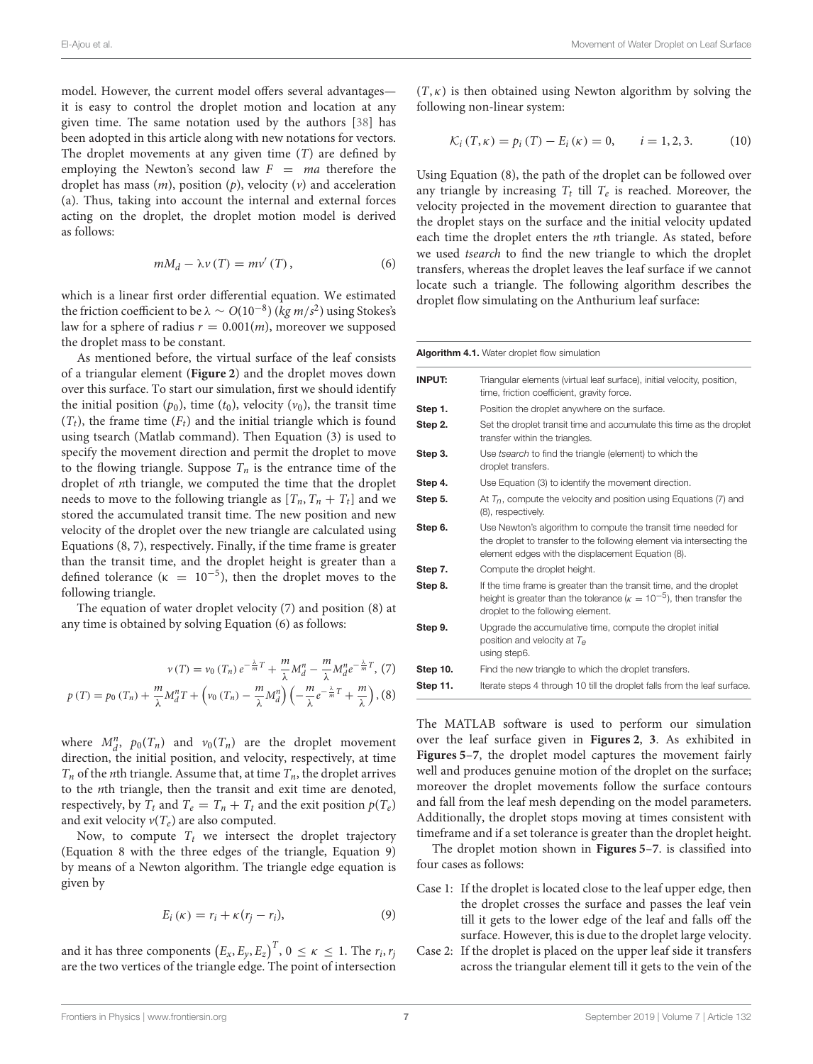model. However, the current model offers several advantages it is easy to control the droplet motion and location at any given time. The same notation used by the authors [38] has been adopted in this article along with new notations for vectors. The droplet movements at any given time  $(T)$  are defined by employing the Newton's second law  $F = ma$  therefore the droplet has mass  $(m)$ , position  $(p)$ , velocity  $(v)$  and acceleration (a). Thus, taking into account the internal and external forces acting on the droplet, the droplet motion model is derived as follows:

$$
mM_d - \lambda \nu(T) = m\nu'(T), \qquad (6)
$$

which is a linear first order differential equation. We estimated the friction coefficient to be  $\lambda \sim O(10^{-8})$  (*kg m/s*<sup>2</sup>) using Stokes's law for a sphere of radius  $r = 0.001(m)$ , moreover we supposed the droplet mass to be constant.

As mentioned before, the virtual surface of the leaf consists of a triangular element (**Figure 2**) and the droplet moves down over this surface. To start our simulation, first we should identify the initial position  $(p_0)$ , time  $(t_0)$ , velocity  $(v_0)$ , the transit time  $(T_t)$ , the frame time  $(F_t)$  and the initial triangle which is found using tsearch (Matlab command). Then Equation (3) is used to specify the movement direction and permit the droplet to move to the flowing triangle. Suppose  $T_n$  is the entrance time of the droplet of nth triangle, we computed the time that the droplet needs to move to the following triangle as  $[T_n, T_n + T_t]$  and we stored the accumulated transit time. The new position and new velocity of the droplet over the new triangle are calculated using Equations (8, 7), respectively. Finally, if the time frame is greater than the transit time, and the droplet height is greater than a defined tolerance ( $\kappa = 10^{-5}$ ), then the droplet moves to the following triangle.

The equation of water droplet velocity (7) and position (8) at any time is obtained by solving Equation (6) as follows:

$$
v(T) = v_0(T_n) e^{-\frac{\lambda}{m}T} + \frac{m}{\lambda} M_d^n - \frac{m}{\lambda} M_d^n e^{-\frac{\lambda}{m}T}, (7)
$$
  

$$
p(T) = p_0(T_n) + \frac{m}{\lambda} M_d^n T + \left(v_0(T_n) - \frac{m}{\lambda} M_d^n\right) \left(-\frac{m}{\lambda} e^{-\frac{\lambda}{m}T} + \frac{m}{\lambda}\right), (8)
$$

where  $M_d^n$ ,  $p_0(T_n)$  and  $v_0(T_n)$  are the droplet movement direction, the initial position, and velocity, respectively, at time  $T_n$  of the *n*th triangle. Assume that, at time  $T_n$ , the droplet arrives to the nth triangle, then the transit and exit time are denoted, respectively, by  $T_t$  and  $T_e = T_n + T_t$  and the exit position  $p(T_e)$ and exit velocity  $v(T_e)$  are also computed.

Now, to compute  $T_t$  we intersect the droplet trajectory (Equation 8 with the three edges of the triangle, Equation 9) by means of a Newton algorithm. The triangle edge equation is given by

$$
E_i(\kappa) = r_i + \kappa (r_j - r_i), \tag{9}
$$

and it has three components  $\left(E_x,E_y,E_z\right)^T$ ,  $0\,\leq\,\kappa\,\leq\,1.$  The  $r_i,r_j$ are the two vertices of the triangle edge. The point of intersection  $(T, \kappa)$  is then obtained using Newton algorithm by solving the following non-linear system:

$$
\mathcal{K}_{i}(T,\kappa) = p_{i}(T) - E_{i}(\kappa) = 0, \qquad i = 1, 2, 3. \tag{10}
$$

Using Equation (8), the path of the droplet can be followed over any triangle by increasing  $T_t$  till  $T_e$  is reached. Moreover, the velocity projected in the movement direction to guarantee that the droplet stays on the surface and the initial velocity updated each time the droplet enters the nth triangle. As stated, before we used tsearch to find the new triangle to which the droplet transfers, whereas the droplet leaves the leaf surface if we cannot locate such a triangle. The following algorithm describes the droplet flow simulating on the Anthurium leaf surface:

| Algorithm 4.1. Water droplet flow simulation |                                                                                                                                                                                             |
|----------------------------------------------|---------------------------------------------------------------------------------------------------------------------------------------------------------------------------------------------|
| <b>INPUT:</b>                                | Triangular elements (virtual leaf surface), initial velocity, position,<br>time, friction coefficient, gravity force.                                                                       |
| Step 1.                                      | Position the droplet anywhere on the surface.                                                                                                                                               |
| Step 2.                                      | Set the droplet transit time and accumulate this time as the droplet<br>transfer within the triangles.                                                                                      |
| Step 3.                                      | Use tsearch to find the triangle (element) to which the<br>droplet transfers.                                                                                                               |
| Step 4.                                      | Use Equation (3) to identify the movement direction.                                                                                                                                        |
| Step 5.                                      | At $T_n$ , compute the velocity and position using Equations (7) and<br>(8), respectively.                                                                                                  |
| Step 6.                                      | Use Newton's algorithm to compute the transit time needed for<br>the droplet to transfer to the following element via intersecting the<br>element edges with the displacement Equation (8). |
| Step 7.                                      | Compute the droplet height.                                                                                                                                                                 |
| Step 8.                                      | If the time frame is greater than the transit time, and the droplet<br>height is greater than the tolerance ( $\kappa = 10^{-5}$ ), then transfer the<br>droplet to the following element.  |
| Step 9.                                      | Upgrade the accumulative time, compute the droplet initial<br>position and velocity at $T_e$<br>using step6.                                                                                |
| Step 10.                                     | Find the new triangle to which the droplet transfers.                                                                                                                                       |
| Step 11.                                     | Iterate steps 4 through 10 till the droplet falls from the leaf surface.                                                                                                                    |

The MATLAB software is used to perform our simulation over the leaf surface given in **Figures 2**, **3**. As exhibited in **Figures 5**–**7**, the droplet model captures the movement fairly well and produces genuine motion of the droplet on the surface; moreover the droplet movements follow the surface contours and fall from the leaf mesh depending on the model parameters. Additionally, the droplet stops moving at times consistent with timeframe and if a set tolerance is greater than the droplet height.

The droplet motion shown in **Figures 5**–**7**. is classified into four cases as follows:

- Case 1: If the droplet is located close to the leaf upper edge, then the droplet crosses the surface and passes the leaf vein till it gets to the lower edge of the leaf and falls off the surface. However, this is due to the droplet large velocity.
- Case 2: If the droplet is placed on the upper leaf side it transfers across the triangular element till it gets to the vein of the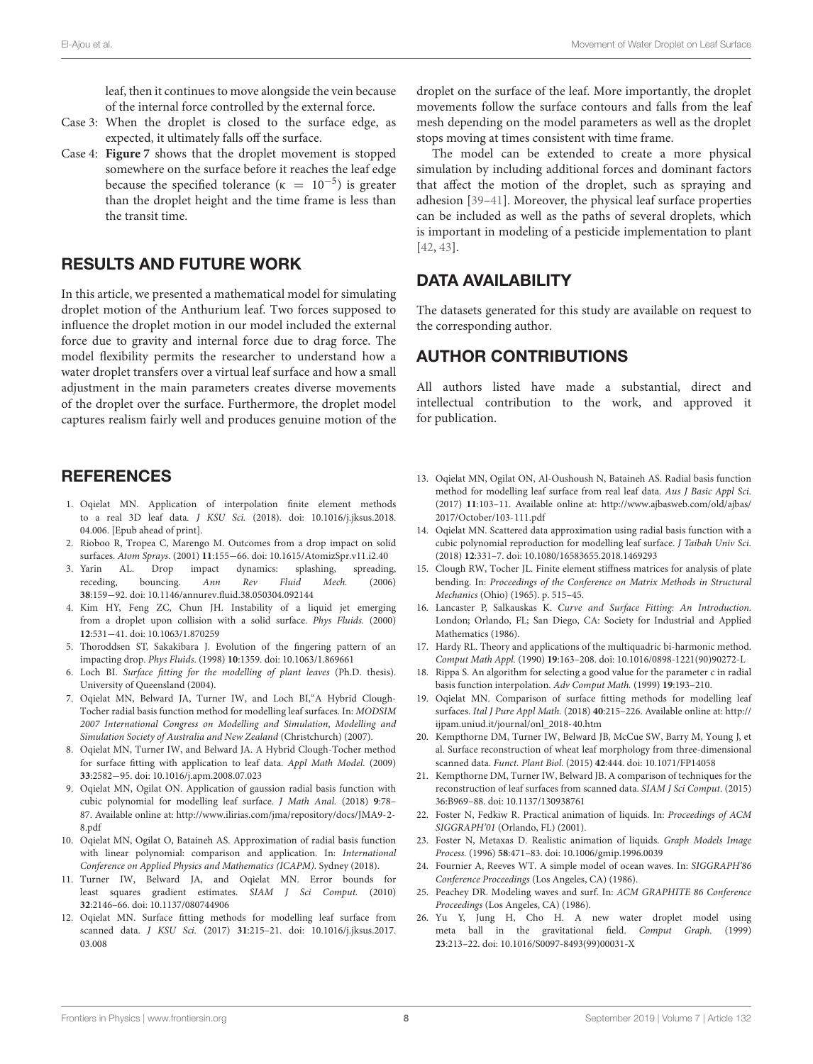leaf, then it continues to move alongside the vein because of the internal force controlled by the external force.

- Case 3: When the droplet is closed to the surface edge, as expected, it ultimately falls off the surface.
- Case 4: **Figure 7** shows that the droplet movement is stopped somewhere on the surface before it reaches the leaf edge because the specified tolerance ( $\kappa = 10^{-5}$ ) is greater than the droplet height and the time frame is less than the transit time.

### RESULTS AND FUTURE WORK

In this article, we presented a mathematical model for simulating droplet motion of the Anthurium leaf. Two forces supposed to influence the droplet motion in our model included the external force due to gravity and internal force due to drag force. The model flexibility permits the researcher to understand how a water droplet transfers over a virtual leaf surface and how a small adjustment in the main parameters creates diverse movements of the droplet over the surface. Furthermore, the droplet model captures realism fairly well and produces genuine motion of the

### **REFERENCES**

- 1. Oqielat MN. Application of interpolation finite element methods to a real 3D leaf data. J KSU Sci. (2018). doi: 10.1016/j.jksus.2018. 04.006. [Epub ahead of print].
- 2. Rioboo R, Tropea C, Marengo M. Outcomes from a drop impact on solid surfaces. Atom Sprays. (2001) **11**:155−66. doi: 10.1615/AtomizSpr.v11.i2.40
- 3. Yarin AL. Drop impact dynamics: splashing, spreading, receding, bouncing. Ann Rev Fluid Mech. (2006) **38**:159−92. doi: 10.1146/annurev.fluid.38.050304.092144
- 4. Kim HY, Feng ZC, Chun JH. Instability of a liquid jet emerging from a droplet upon collision with a solid surface. Phys Fluids. (2000) **12**:531−41. doi: 10.1063/1.870259
- 5. Thoroddsen ST, Sakakibara J. Evolution of the fingering pattern of an impacting drop. Phys Fluids. (1998) **10**:1359. doi: 10.1063/1.869661
- 6. Loch BI. Surface fitting for the modelling of plant leaves (Ph.D. thesis). University of Queensland (2004).
- 7. Oqielat MN, Belward JA, Turner IW, and Loch BI,"A Hybrid Clough-Tocher radial basis function method for modelling leaf surfaces. In: MODSIM 2007 International Congress on Modelling and Simulation, Modelling and Simulation Society of Australia and New Zealand (Christchurch) (2007).
- 8. Oqielat MN, Turner IW, and Belward JA. A Hybrid Clough-Tocher method for surface fitting with application to leaf data. Appl Math Model. (2009) **33**:2582−95. doi: 10.1016/j.apm.2008.07.023
- 9. Oqielat MN, Ogilat ON. Application of gaussion radial basis function with cubic polynomial for modelling leaf surface. J Math Anal. (2018) **9**:78– 87. Available online at: http://www.ilirias.com/jma/repository/docs/JMA9-2- 8.pdf
- 10. Oqielat MN, Ogilat O, Bataineh AS. Approximation of radial basis function with linear polynomial: comparison and application. In: International Conference on Applied Physics and Mathematics (ICAPM). Sydney (2018).
- 11. Turner IW, Belward JA, and Oqielat MN. Error bounds for least squares gradient estimates. SIAM J Sci Comput. (2010) **32**:2146–66. doi: 10.1137/080744906
- 12. Oqielat MN. Surface fitting methods for modelling leaf surface from scanned data. J KSU Sci. (2017) **31**:215–21. doi: 10.1016/j.jksus.2017. 03.008

droplet on the surface of the leaf. More importantly, the droplet movements follow the surface contours and falls from the leaf mesh depending on the model parameters as well as the droplet stops moving at times consistent with time frame.

The model can be extended to create a more physical simulation by including additional forces and dominant factors that affect the motion of the droplet, such as spraying and adhesion [39–41]. Moreover, the physical leaf surface properties can be included as well as the paths of several droplets, which is important in modeling of a pesticide implementation to plant [42, 43].

## DATA AVAILABILITY

The datasets generated for this study are available on request to the corresponding author.

## AUTHOR CONTRIBUTIONS

All authors listed have made a substantial, direct and intellectual contribution to the work, and approved it for publication.

- 13. Oqielat MN, Ogilat ON, Al-Oushoush N, Bataineh AS. Radial basis function method for modelling leaf surface from real leaf data. Aus J Basic Appl Sci. (2017) **11**:103–11. Available online at: http://www.ajbasweb.com/old/ajbas/ 2017/October/103-111.pdf
- 14. Oqielat MN. Scattered data approximation using radial basis function with a cubic polynomial reproduction for modelling leaf surface. J Taibah Univ Sci. (2018) **12**:331–7. doi: 10.1080/16583655.2018.1469293
- 15. Clough RW, Tocher JL. Finite element stiffness matrices for analysis of plate bending. In: Proceedings of the Conference on Matrix Methods in Structural Mechanics (Ohio) (1965). p. 515–45.
- 16. Lancaster P, Salkauskas K. Curve and Surface Fitting: An Introduction. London; Orlando, FL; San Diego, CA: Society for Industrial and Applied Mathematics (1986).
- 17. Hardy RL. Theory and applications of the multiquadric bi-harmonic method. Comput Math Appl. (1990) **19**:163–208. doi: 10.1016/0898-1221(90)90272-L
- 18. Rippa S. An algorithm for selecting a good value for the parameter c in radial basis function interpolation. Adv Comput Math. (1999) **19**:193–210.
- 19. Oqielat MN. Comparison of surface fitting methods for modelling leaf surfaces. Ital J Pure Appl Math. (2018) **40**:215–226. Available online at: http:// ijpam.uniud.it/journal/onl\_2018-40.htm
- 20. Kempthorne DM, Turner IW, Belward JB, McCue SW, Barry M, Young J, et al. Surface reconstruction of wheat leaf morphology from three-dimensional scanned data. Funct. Plant Biol. (2015) **42**:444. doi: 10.1071/FP14058
- 21. Kempthorne DM, Turner IW, Belward JB. A comparison of techniques for the reconstruction of leaf surfaces from scanned data. SIAM J Sci Comput. (2015) 36:B969–88. doi: 10.1137/130938761
- 22. Foster N, Fedkiw R. Practical animation of liquids. In: Proceedings of ACM SIGGRAPH'01 (Orlando, FL) (2001).
- 23. Foster N, Metaxas D. Realistic animation of liquids. Graph Models Image Process. (1996) **58**:471–83. doi: 10.1006/gmip.1996.0039
- 24. Fournier A, Reeves WT. A simple model of ocean waves. In: SIGGRAPH'86 Conference Proceedings (Los Angeles, CA) (1986).
- 25. Peachey DR. Modeling waves and surf. In: ACM GRAPHITE 86 Conference Proceedings (Los Angeles, CA) (1986).
- 26. Yu Y, Jung H, Cho H. A new water droplet model using meta ball in the gravitational field. Comput Graph. (1999) **23**:213–22. doi: 10.1016/S0097-8493(99)00031-X